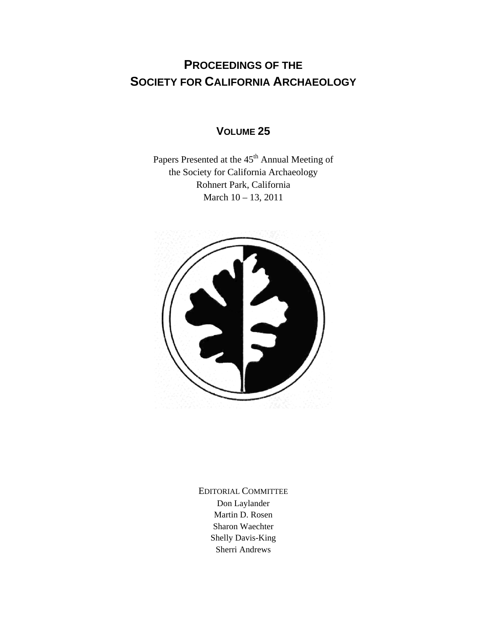## **PROCEEDINGS OF THE SOCIETY FOR CALIFORNIA ARCHAEOLOGY**

## **VOLUME 25**

Papers Presented at the 45<sup>th</sup> Annual Meeting of the Society for California Archaeology Rohnert Park, California March 10 – 13, 2011



EDITORIAL COMMITTEE Don Laylander Martin D. Rosen Sharon Waechter Shelly Davis-King Sherri Andrews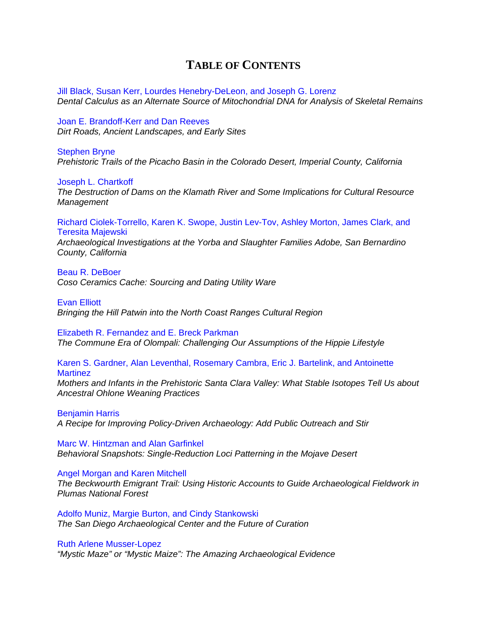## **TABLE OF CONTENTS**

Jill Black, Susan Kerr, Lourdes Henebry-DeLeon, and Joseph G. Lorenz *[Dental Calculus as an Alternate Source of Mitochondrial DNA for Analysis of Skeletal Remains](http://www.scahome.org/publications/proceedings/Proceedings.25Black.pdf)* 

Joan E. Brandoff-Kerr and Dan Reeves *[Dirt Roads, Ancient Landscapes, and Early Sites](http://www.scahome.org/publications/proceedings/Proceedings.25Brandoff.pdf)* 

## Stephen Bryne

*[Prehistoric Trails of the Picacho Basin in the Colorado Desert, Imperial County, California](http://www.scahome.org/publications/proceedings/Proceedings.25Bryne.pdf)* 

Joseph L. Chartkoff *[The Destruction of Dams on the Klamath River and](http://www.scahome.org/publications/proceedings/Proceedings.25Chartkoff.pdf) Some Implications for Cultural Resource Management* 

[Richard Ciolek-Torrello, Karen K. Swope, Justin Lev-Tov, Ashley Morton, James Clark, and](http://www.scahome.org/publications/proceedings/Proceedings.25Ciolek.pdf)  Teresita Majewski

*Archaeological Investigations at the Yorba and Slaughter Families Adobe, San Bernardino County, California* 

Beau R. DeBoer *[Coso Ceramics Cache: Sourcing and Dating Utility Ware](http://www.scahome.org/publications/proceedings/Proceedings.25DeBoer.pdf)* 

Evan Elliott *[Bringing the Hill Patwin into the North Coast Ranges Cultural Region](http://www.scahome.org/publications/proceedings/Proceedings.25Elliott.pdf)* 

Elizabeth R. Fernandez and E. Breck Parkman *[The Commune Era of Olompali: Challenging Our Assumptions of the Hippie Lifestyle](http://www.scahome.org/publications/proceedings/Proceedings.25Fernandez.pdf)* 

Karen S. Gardner, Alan Leventhal, Rosemary Cambra, Eric J. Bartelink, and Antoinette **Martinez** 

*[Mothers and Infants in the Prehistoric Santa Clara Valley: What Stable Isotopes Tell Us about](http://www.scahome.org/publications/proceedings/Proceedings.25Gardner.pdf)  Ancestral Ohlone Weaning Practices*

Benjamin Harris *[A Recipe for Improving Policy-Driven Archaeology: Add Public Outreach and Stir](http://www.scahome.org/publications/proceedings/Proceedings.25Harris.pdf)*

Marc W. Hintzman and Alan Garfinkel *[Behavioral Snapshots: Single-Reduction Loci Patterning in the Mojave Desert](http://www.scahome.org/publications/proceedings/Proceedings.25Hintzman.pdf)* 

Angel Morgan and Karen Mitchell *[The Beckwourth Emigrant Trail: Using Historic Accounts to Guide Archaeological Fieldwork in](http://www.scahome.org/publications/proceedings/Proceedings.25Morgan.pdf)  Plumas National Forest*

Adolfo Muniz, Margie Burton, and Cindy Stankowski *[The San Diego Archaeological Center and the Future of Curation](http://www.scahome.org/publications/proceedings/Proceedings.25Muniz.pdf)* 

Ruth Arlene Musser-Lopez

*["Mystic Maze" or "Mystic Maize": The Amazing Archaeological Evidence](http://www.scahome.org/publications/proceedings/Proceedings.25Lopez.pdf)*